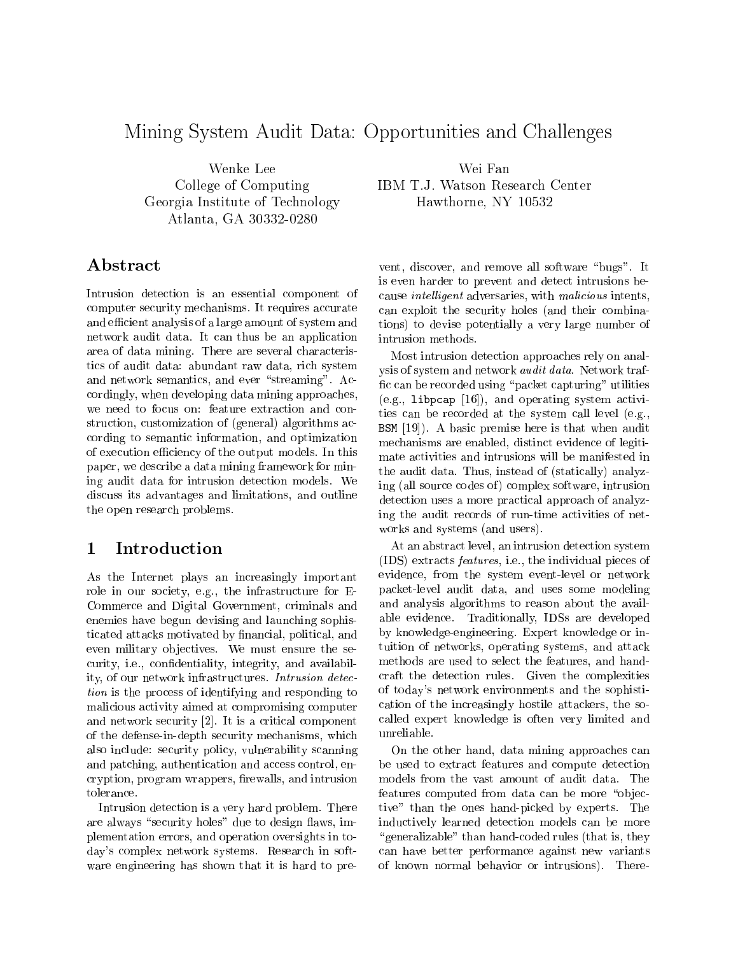# Mining System Audit Data: Opportunities and Challenges

Wenke Lee College of Computing Georgia Institute of Technology Atlanta, GA 30332-0280

# Abstract

Intrusion detection is an essential component of computer security mechanisms. It requires accurate and efficient analysis of a large amount of system and network audit data. It can thus be an application area of data mining. There are several characteristics of audit data: abundant raw data, rich system and network semantics, and ever "streaming".  $Ac$ cordingly, when developing data mining approaches, we need to focus on: feature extraction and construction, customization of (general) algorithms according to semantic information, and optimization of execution efficiency of the output models. In this paper, we describe a data mining framework for mining audit data for intrusion detection models. We discuss its advantages and limitations, and outline the open research problems.

# 1 Introduction

As the Internet plays an increasingly important role in our society, e.g., the infrastructure for E-Commerce and Digital Government, criminals and enemies have begun devising and launching sophisticated attacks motivated by financial, political, and even military ob jectives. We must ensure the security, i.e., condentiality, integrity, and availability, of our network infrastructures. Intrusion detection is the process of identifying and responding to malicious activity aimed at compromising computer and network security [2]. It is a critical component of the defense-in-depth security mechanisms, which also include: security policy, vulnerability scanning and patching, authentication and access control, encryption, program wrappers, firewalls, and intrusion tolerance.

Intrusion detection is a very hard problem. There are always "security holes" due to design flaws, implementation errors, and operation oversights in today's complex network systems. Research in soft ware engineering has shown that it is hard to pre-

Wei Fan IBM T.J. Watson Research Center Hawthorne, NY 10532

vent, discover, and remove all software \bugs". It is even harder to prevent and detect intrusions because *intelligent* adversaries, with *malicious* intents, can exploit the security holes (and their combinations) to devise potentially a very large number of intrusion methods.

Most intrusion detection approaches rely on analysis of system and network audit data. Network traf fic can be recorded using "packet capturing" utilities (e.g., libpcap [16]), and operating system activities can be recorded at the system call level (e.g., BSM [19]). A basic premise here is that when audit mechanisms are enabled, distinct evidence of legitimate activities and intrusions will be manifested in the audit data. Thus, instead of (statically) analyzing (all source codes of ) complex software, intrusion detection uses a more practical approach of analyzing the audit records of run-time activities of net works and systems (and users).

At an abstract level, an intrusion detection system (IDS) extracts features, i.e., the individual pieces of evidence, from the system event-level or network packet-level audit data, and uses some modeling and analysis algorithms to reason about the available evidence. Traditionally, IDSs are developed by knowledge-engineering. Expert knowledge or intuition of networks, operating systems, and attack methods are used to select the features, and handcraft the detection rules. Given the complexities of today's network environments and the sophistication of the increasingly hostile attackers, the socalled expert knowledge is often very limited and

On the other hand, data mining approaches can be used to extract features and compute detection models from the vast amount of audit data. The features computed from data can be more "objective" than the ones hand-picked by experts. The inductively learned detection models can be more "generalizable" than hand-coded rules (that is, they can have better performance against new variants of known normal behavior or intrusions). There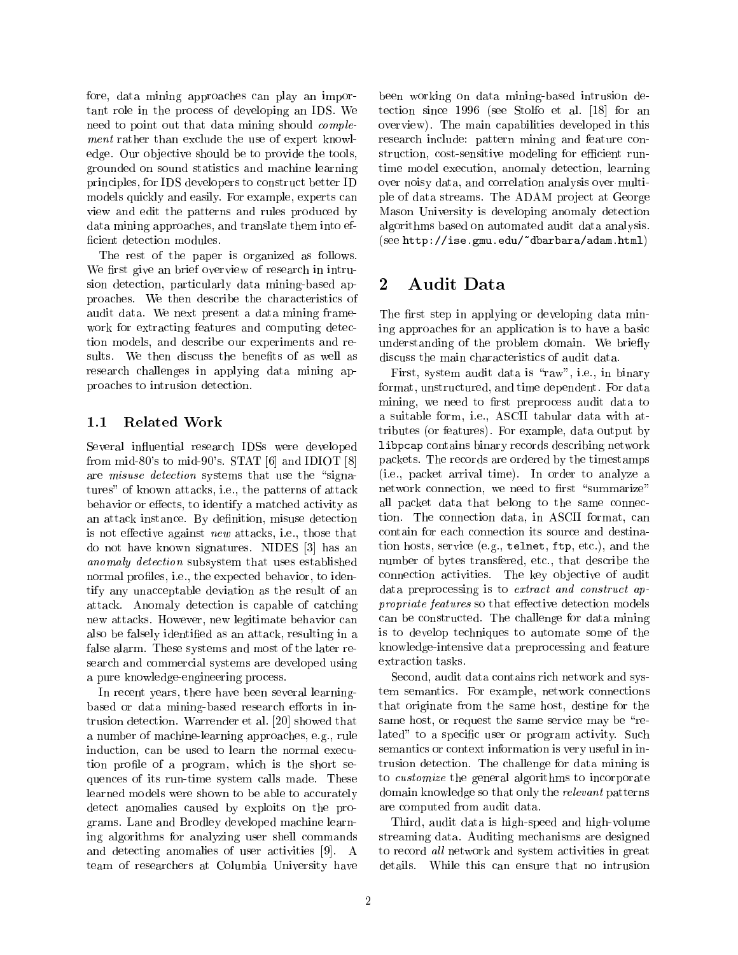fore, data mining approaches can play an important role in the process of developing an IDS. We need to point out that data mining should complement rather than exclude the use of expert knowledge. Our objective should be to provide the tools, grounded on sound statistics and machine learning principles, for IDS developers to construct better ID models quickly and easily. For example, experts can view and edit the patterns and rules produced by data mining approaches, and translate them into ef ficient detection modules.

The rest of the paper is organized as follows. We first give an brief overview of research in intrusion detection, particularly data mining-based ap-<br>2 proaches. We then describe the characteristics of audit data. We next present a data mining frame work for extracting features and computing detection models, and describe our experiments and results. We then discuss the benefits of as well as research challenges in applying data mining approaches to intrusion detection.

## 1.1 Related Work

Several influential research IDSs were developed from mid-80's to mid-90's. STAT [6] and IDIOT [8] are *misuse detection* systems that use the "signatures" of known attacks, i.e., the patterns of attack behavior or effects, to identify a matched activity as an attack instance. By definition, misuse detection is not effective against *new* attacks, i.e., those that do not have known signatures. NIDES [3] has an anomaly detection subsystem that uses established normal profiles, i.e., the expected behavior, to identify any unacceptable deviation as the result of an attack. Anomaly detection is capable of catching new attacks. However, new legitimate behavior can also be falsely identied as an attack, resulting in a false alarm. These systems and most of the later research and commercial systems are developed using a pure knowledge-engineering process.

In recent years, there have been several learningbased or data mining-based research efforts in intrusion detection. Warrender et al. [20] showed that a number of machine-learning approaches, e.g., rule induction, can be used to learn the normal execution profile of a program, which is the short sequences of its run-time system calls made. These learned models were shown to be able to accurately detect anomalies caused by exploits on the programs. Lane and Brodley developed machine learning algorithms for analyzing user shell commands and detecting anomalies of user activities [9]. A team of researchers at Columbia University have been working on data mining-based intrusion detection since 1996 (see Stolfo et al. [18] for an overview). The main capabilities developed in this research include: pattern mining and feature construction, cost-sensitive modeling for efficient runtime model execution, anomaly detection, learning over noisy data, and correlation analysis over multiple of data streams. The ADAM project at George Mason University is developing anomaly detection algorithms based on automated audit data analysis. (see http://ise.gmu.edu/~dbarbara/adam.html)

# Audit Data

The first step in applying or developing data mining approaches for an application is to have a basic understanding of the problem domain. We briefly discuss the main characteristics of audit data.

First, system audit data is "raw", i.e., in binary format, unstructured, and time dependent. For data mining, we need to first preprocess audit data to a suitable form, i.e., ASCII tabular data with attributes (or features). For example, data output by  $\blacksquare$ packets. The records are ordered by the timestamps (i.e., packet arrival time). In order to analyze a network connection, we need to first "summarize" all packet data that belong to the same connection. The connection data, in ASCII format, can contain for each connection its source and destination hosts, service (e.g., telnet, ftp, etc.), and the number of bytes transfered, etc., that describe the connection activities. The key objective of audit data preprocessing is to extract and construct appropriate features so that effective detection models can be constructed. The challenge for data mining is to develop techniques to automate some of the knowledge-intensive data preprocessing and feature extraction tasks.

Second, audit data contains rich network and system semantics. For example, network connections that originate from the same host, destine for the same host, or request the same service may be "related" to a specific user or program activity. Such semantics or context information is very useful in intrusion detection. The challenge for data mining is to customize the general algorithms to incorporate domain knowledge so that only the relevant patterns are computed from audit data.

Third, audit data is high-speed and high-volume streaming data. Auditing mechanisms are designed to record all network and system activities in great details. While this can ensure that no intrusion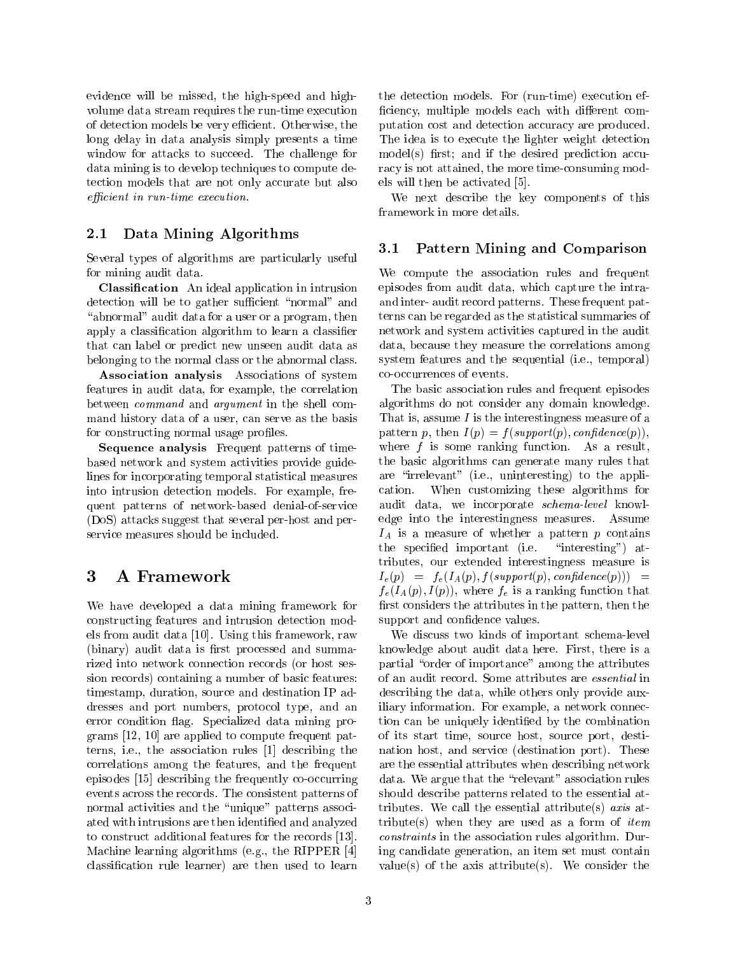evidence will be missed, the high-speed and high volume data stream requires the run-time execution of detection models be very efficient. Otherwise, the long delay in data analysis simply presents a time window for attacks to succeed. The challenge for data mining is to develop techniques to compute detection models that are not only accurate but also efficient in run-time execution.

## 2.1 Data Mining Algorithms

Several types of algorithms are particularly useful for mining audit data.

Classication An ideal application in intrusion detection will be to gather sufficient "normal" and "abnormal" audit data for a user or a program, then apply a classification algorithm to learn a classifier that can label or predict new unseen audit data as belonging to the normal class or the abnormal class.

Association analysis Associations of system features in audit data, for example, the correlation between command and argument in the shell command history data of a user, can serve as the basis for constructing normal usage profiles.

Sequence analysis Frequent patterns of timebased network and system activities provide guidelines for incorporating temporal statistical measures into intrusion detection models. For example, frequent patterns of network-based denial-of-service (DoS) attacks suggest that several per-host and perservice measures should be included.

## 3 A Framework

We have developed a data mining framework for constructing features and intrusion detection models from audit data [10]. Using this framework, raw  $(binary)$  audit data is first processed and summarized into network connection records (or host session records) containing a number of basic features: timestamp, duration, source and destination IP addresses and port numbers, protocol type, and an error condition ag. Specialized data mining programs [12, 10] are applied to compute frequent patterns, i.e., the association rules [1] describing the correlations among the features, and the frequent episodes [15] describing the frequently co-occurring events across the records. The consistent patterns of normal activities and the "unique" patterns associated with intrusions are then identied and analyzed to construct additional features for the records [13]. Machine learning algorithms (e.g., the RIPPER [4] classication rule learner) are then used to learn

the detection models. For (run-time) execution ef ficiency, multiple models each with different computation cost and detection accuracy are produced. The idea is to execute the lighter weight detection  $model(s)$  first; and if the desired prediction accuracy is not attained, the more time-consuming models will then be activated [5].

We next describe the key components of this framework in more details.

#### $3.1$ Pattern Mining and Comparison

We compute the association rules and frequent episodes from audit data, which capture the intraand inter- audit record patterns. These frequent patterns can be regarded as the statistical summaries of network and system activities captured in the audit data, because they measure the correlations among system features and the sequential (i.e., temporal) co-occurrences of events.

The basic association rules and frequent episodes algorithms do not consider any domain knowledge. That is, assume  $I$  is the interestingness measure of a pattern p, then  $I(p) = f(support(p), confidence(p)),$ where  $f$  is some ranking function. As a result, the basic algorithms can generate many rules that are "irrelevant" (i.e., uninteresting) to the application. When customizing these algorithms for audit data, we incorporate schema-level knowledge into the interestingness measures. Assume  $I_A$  is a measure of whether a pattern p contains the specified important (i.e. "interesting") attributes, our extended interestingness measure is  $I_e(p) = f_e(I_A(p), f(support(p), confidence(p))) =$  $f_e(I_A(p), I(p))$ , where  $f_e$  is a ranking function that first considers the attributes in the pattern, then the support and confidence values.

We discuss two kinds of important schema-level knowledge about audit data here. First, there is a partial "order of importance" among the attributes of an audit record. Some attributes are essential in describing the data, while others only provide auxiliary information. For example, a network connection can be uniquely identied by the combination of its start time, source host, source port, destination host, and service (destination port). These are the essential attributes when describing network data. We argue that the \relevant" association rules should describe patterns related to the essential attributes. We call the essential attribute(s) *axis* attribute(s) when they are used as a form of  $item$ constraints in the association rules algorithm. During candidate generation, an item set must contain value(s) of the axis attribute(s). We consider the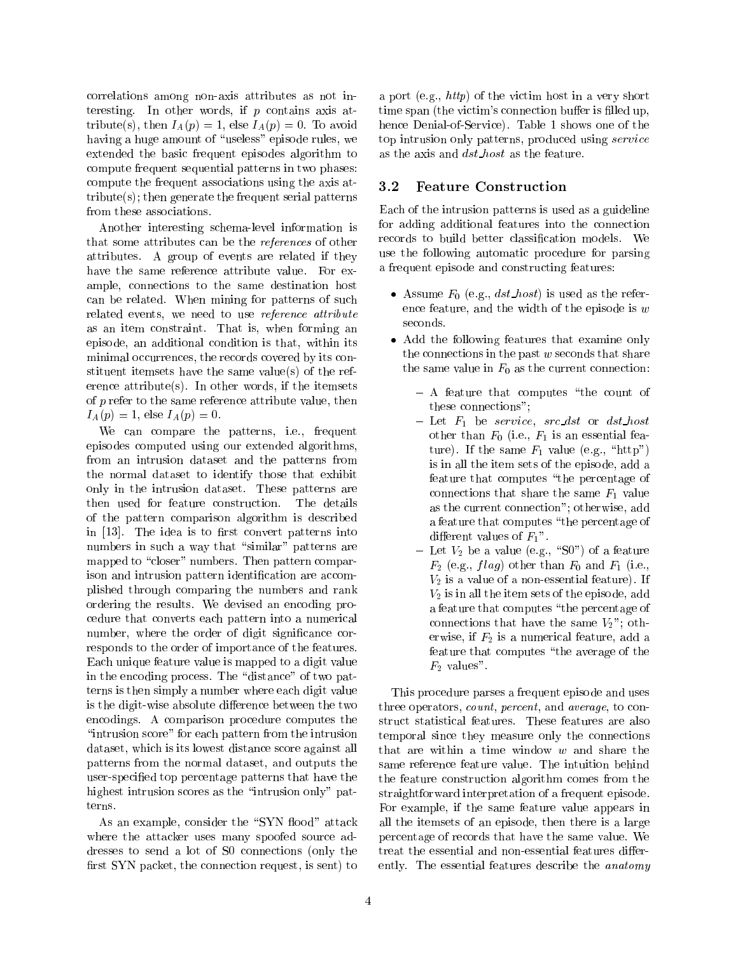correlations among non-axis attributes as not interesting. In other words, if  $p$  contains axis attribute(s), then  $I_A(p) = 1$ , else  $I_A(p) = 0$ . To avoid having a huge amount of "useless" episode rules, we extended the basic frequent episodes algorithm to compute frequent sequential patterns in two phases: compute the frequent associations using the axis attribute(s); then generate the frequent serial patterns from these associations.

Another interesting schema-level information is that some attributes can be the references of other attributes. A group of events are related if they have the same reference attribute value. For example, connections to the same destination host can be related. When mining for patterns of such related events, we need to use *reference* attribute as an item constraint. That is, when forming an episode, an additional condition is that, within its minimal occurrences, the records covered by its constituent itemsets have the same value(s) of the reference attribute(s). In other words, if the itemsets of <sup>p</sup> refer to the same reference attribute value, then  $I_A(p) = 1$ , else  $I_A(p) = 0$ .

We can compare the patterns, i.e., frequent episodes computed using our extended algorithms, from an intrusion dataset and the patterns from the normal dataset to identify those that exhibit only in the intrusion dataset. These patterns are then used for feature construction. The details of the pattern comparison algorithm is described in [13]. The idea is to first convert patterns into numbers in such a way that "similar" patterns are mapped to "closer" numbers. Then pattern comparison and intrusion pattern identification are accomplished through comparing the numbers and rank ordering the results. We devised an encoding procedure that converts each pattern into a numerical number, where the order of digit significance corresponds to the order of importance of the features. Each unique feature value is mapped to a digit value in the encoding process. The "distance" of two patterns is then simply a number where each digit value is the digit-wise absolute difference between the two encodings. A comparison procedure computes the "intrusion score" for each pattern from the intrusion dataset, which is its lowest distance score against all patterns from the normal dataset, and outputs the user-specied top percentage patterns that have the highest intrusion scores as the "intrusion only" patterns.

As an example, consider the "SYN flood" attack where the attacker uses many spoofed source addresses to send a lot of S0 connections (only the first SYN packet, the connection request, is sent) to

a port (e.g., http) of the victim host in a very short time span (the victim's connection buffer is filled up, hence Denial-of-Service). Table 1 shows one of the top intrusion only patterns, produced using service as the axis and dst host as the feature.

## 3.2 Feature Construction

Each of the intrusion patterns is used as a guideline for adding additional features into the connection records to build better classication models. We use the following automatic procedure for parsing a frequent episode and constructing features:

- Assume  $F_0$  (e.g.,  $dst\_host$ ) is used as the reference feature, and the width of the episode is  $w$ seconds.
- Add the following features that examine only the connections in the past  $w$  seconds that share the same value in  $F_0$  as the current connection:
	- $-$  A feature that computes "the count of these connections";
	- ${\sf Let}$   $F_1$  be service, src dst or dst host other than  $F_0$  (i.e.,  $F_1$  is an essential feature). If the same  $F_1$  value (e.g., "http") is in all the item sets of the episode, add a feature that computes "the percentage of connections that share the same  $F_1$  value as the current connection"; otherwise, add a feature that computes "the percentage of different values of  $F_1$ ".
	- $-$  Let  $V_2$  be a value (e.g., "S0") of a feature  $F_2$  (e.g.,  $flag$ ) other than  $F_0$  and  $F_1$  (i.e.,  $V_2$  is a value of a non-essential feature). If  $V_2$  is in all the item sets of the episode, add a feature that computes "the percentage of connections that have the same  $V_2$ "; otherwise, if  $F_2$  is a numerical feature, add a feature that computes "the average of the  $F_2$  values".

This procedure parses a frequent episode and uses three operators, count, percent, and average, to construct statistical features. These features are also temporal since they measure only the connections that are within a time window  $w$  and share the same reference feature value. The intuition behind the feature construction algorithm comes from the straightforward interpretation of a frequent episode. For example, if the same feature value appears in all the itemsets of an episode, then there is a large percentage of records that have the same value. We treat the essential and non-essential features differently. The essential features describe the *anatomy*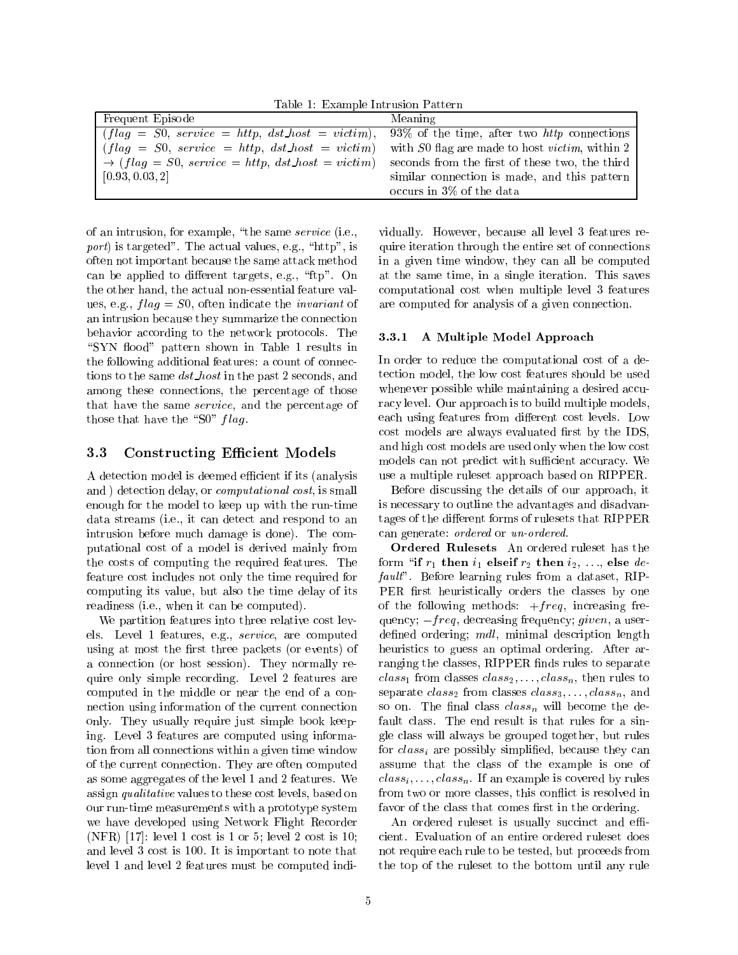Table 1: Example Intrusion Pattern

| Frequent Episode                                                                            | Meaning                                                  |
|---------------------------------------------------------------------------------------------|----------------------------------------------------------|
| (flag = S0, service = http, dst host = victim), 93% of the time, after two http connections |                                                          |
| $(flag = S0, service = http, dst host = victim)$                                            | with $S0$ flag are made to host <i>victim</i> , within 2 |
| $\rightarrow$ (flag = S0, service = http, dst_host = victim)                                | seconds from the first of these two, the third           |
| [0.93, 0.03, 2]                                                                             | similar connection is made, and this pattern             |
|                                                                                             | occurs in $3\%$ of the data                              |

of an intrusion, for example, \the same service (i.e., *port*) is targeted". The actual values, e.g., "http", is often not important because the same attack method can be applied to different targets, e.g., "ftp". On the other hand, the actual non-essential feature values, e.g.,  $flag = S0$ , often indicate the *invariant* of an intrusion because they summarize the connection behavior according to the network protocols. The 3.3.1 "SYN flood" pattern shown in Table 1 results in the following additional features: a count of connections to the same  $dst\_host$  in the past 2 seconds, and among these connections, the percentage of those that have the same service, and the percentage of those that have the "S0"  $flag.$ 

## 3.3 Constructing Efficient Models

A detection model is deemed efficient if its (analysis and ) detection delay, or computational cost, is small enough for the model to keep up with the run-time data streams (i.e., it can detect and respond to an intrusion before much damage is done). The computational cost of a model is derived mainly from the costs of computing the required features. The feature cost includes not only the time required for computing its value, but also the time delay of its readiness (i.e., when it can be computed).

We partition features into three relative cost levels. Level 1 features, e.g., service, are computed using at most the first three packets (or events) of a connection (or host session). They normally require only simple recording. Level 2 features are computed in the middle or near the end of a connection using information of the current connection only. They usually require just simple book keeping. Level 3 features are computed using information from all connections within a given time window of the current connection. They are often computed as some aggregates of the level 1 and 2 features. We assign qualitative values to these cost levels, based on our run-time measurements with a prototype system we have developed using Network Flight Recorder (NFR)  $[17]$ : level 1 cost is 1 or 5; level 2 cost is 10; and level 3 cost is 100. It is important to note that level 1 and level 2 features must be computed individually. However, because all level 3 features require iteration through the entire set of connections in a given time window, they can all be computed at the same time, in a single iteration. This saves computational cost when multiple level 3 features are computed for analysis of a given connection.

## A Multiple Model Approach

In order to reduce the computational cost of a detection model, the low cost features should be used whenever possible while maintaining a desired accuracy level. Our approach is to build multiple models, each using features from different cost levels. Low cost models are always evaluated first by the IDS, and high cost models are used only when the low cost models can not predict with sufficient accuracy. We use a multiple ruleset approach based on RIPPER.

Before discussing the details of our approach, it is necessary to outline the advantages and disadvantages of the different forms of rulesets that RIPPER can generate: ordered or un-ordered.

Ordered Rulesets An ordered ruleset has the form "if  $r_1$  then  $i_1$  elseif  $r_2$  then  $i_2, \ldots$ , else default". Before learning rules from a dataset, RIP-PER first heuristically orders the classes by one of the following methods:  $+freq$ , increasing frequency;  $-freq$ , decreasing frequency; given, a userdefined ordering;  $mdl$ , minimal description length heuristics to guess an optimal ordering. After arranging the classes, RIPPER finds rules to separate  $class_1$  from classes  $class_2, \ldots, class_n$ , then rules to separate  $class_2$  from classes  $class_3, \ldots, class_n$ , and so on. The final class  $class_n$  will become the default class. The end result is that rules for a single class will always be grouped together, but rules for  $class_i$  are possibly simplified, because they can assume that the class of the example is one of  $class_i, \ldots, class_n$ . If an example is covered by rules from two or more classes, this conflict is resolved in favor of the class that comes first in the ordering.

An ordered ruleset is usually succinct and efficient. Evaluation of an entire ordered ruleset does not require each rule to be tested, but proceeds from the top of the ruleset to the bottom until any rule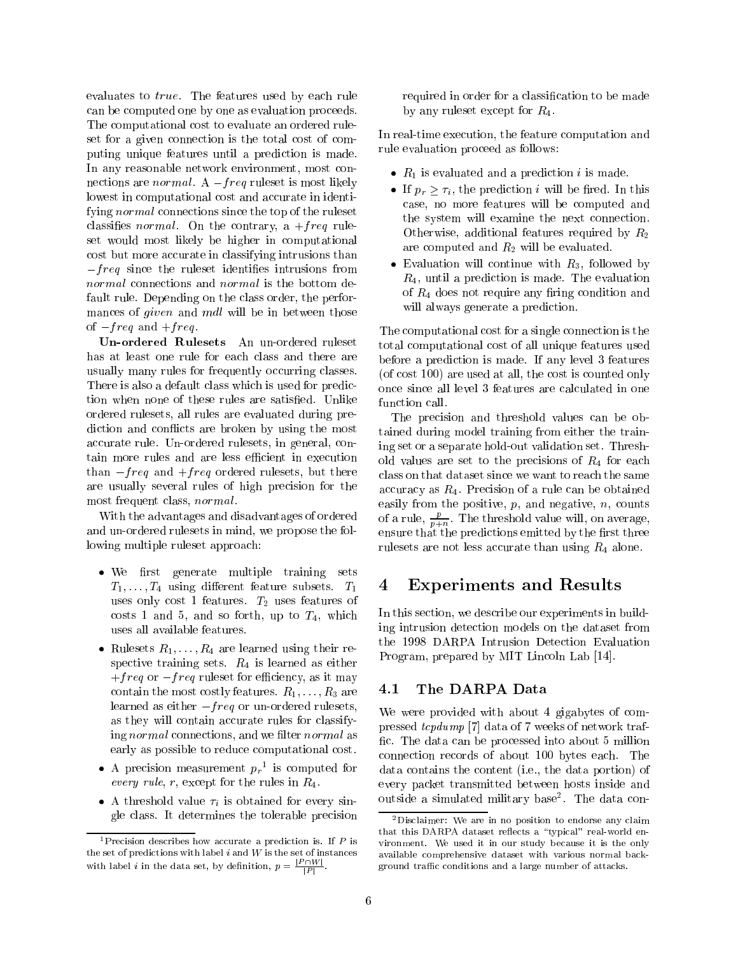evaluates to true. The features used by each rule can be computed one by one as evaluation proceeds. The computational cost to evaluate an ordered ruleset for a given connection is the total cost of computing unique features until a prediction is made. In any reasonable network environment, most connections are *normal*. A  $-$ *f req* ruleset is most likely lowest in computational cost and accurate in identifying normal connections since the top of the ruleset classifies *normal*. On the contrary, a  $+freq$  ruleset would most likely be higher in computational cost but more accurate in classifying intrusions than  $-\text{freq}$  since the rules et identifies intrusions from normal con<del>nections and normal is the bottom de-</del> fault rule. Depending on the class order, the performances of *given* and *mdl* will be in between those of  $-freq$  and  $+freq$ .

Un-ordered Rulesets An un-ordered ruleset has at least one rule for each class and there are usually many rules for frequently occurring classes. There is also a default class which is used for prediction when none of these rules are satisfied. Unlike ordered rulesets, all rules are evaluated during prediction and conflicts are broken by using the most accurate rule. Un-ordered rulesets, in general, contain more rules and are less efficient in execution than  $-freq$  and  $+freq$  ordered rulesets, but there are usually several rules of high precision for the most frequent class, normal.

With the advantages and disadvantages of ordered and un-ordered rulesets in mind, we propose the following multiple ruleset approach:

- We first generate multiple training sets  $T_1,\ldots,T_4$  using different feature subsets.  $T_1$  4 uses only cost 1 features.  $T_2$  uses features of costs 1 and 5, and so forth, up to  $T_4$ , which uses all available features.
- Rulesets  $R_1,\ldots,R_4$  are learned using their respective training sets.  $R_4$  is learned as either  $+freq$  or  $-freq$  ruleset for efficiency, as it may contain the most costly features.  $R_1,\ldots,R_3$  are learned as either  $-freeq$  or un-ordered rulesets, as they will contain accurate rules for classifying normal connections, and we filter normal as early as possible to reduce computational cost.
- A precision measurement  $p_r$  is computed for  $q_a$ every rule, r, except for the rules in  $R_4$ .
- A threshold value  $\tau_i$  is obtained for every single class. It determines the tolerable precision

required in order for a classication to be made by any rules t except for  $R_4$ .

In real-time execution, the feature computation and rule evaluation proceed as follows:

- $R_1$  is evaluated and a prediction *i* is made.
- If  $p_r \geq \tau_i$ , the prediction i will be fired. In this case, no more features will be computed and the system will examine the next connection. Otherwise, additional features required by  $R_2$ are computed and  $R_2$  will be evaluated.
- Evaluation will continue with  $R_3$ , followed by  $R_4$ , until a prediction is made. The evaluation of  $R_4$  does not require any firing condition and will always generate a prediction.

The computational cost for a single connection is the total computational cost of all unique features used before a prediction is made. If any level 3 features (of cost 100) are used at all, the cost is counted only once since all level 3 features are calculated in one function call.

The precision and threshold values can be obtained during model training from either the training set or a separate hold-out validation set. Threshold values are set to the precisions of  $R_4$  for each class on that dataset since we want to reach the same accuracy as  $R_4$ . Precision of a rule can be obtained easily from the positive,  $p$ , and negative,  $n$ , counts of a rule,  $\frac{r}{n+n}$ . The threshold value will, on average, ensure that the predictions emitted by the first three rulesets are not less accurate than using  $R_4$  alone.

# Experiments and Results

In this section, we describe our experiments in building intrusion detection models on the dataset from the 1998 DARPA Intrusion Detection Evaluation Program, prepared by MIT Lincoln Lab [14].

## 4.1 The DARPA Data

We were provided with about 4 gigabytes of compressed tcpdump [7] data of 7 weeks of network traf fic. The data can be processed into about 5 million connection records of about 100 bytes each. The data contains the content (i.e., the data portion) of every packet transmitted between hosts inside and outside a simulated military base – Ine data con-

<sup>&</sup>lt;sup>1</sup> Precision describes how accurate a prediction is. If  $P$  is the set of predictions with label  $i$  and  $W$  is the set of instances with label  $i$  in the data set, by definition,  $p = \frac{p}{|P|}$ .

 $^{2}$ Disclaimer: We are in no position to endorse any claim that this DARPA dataset reflects a "typical" real-world environment. We used it in our study because it is the only available comprehensive dataset with various normal background traffic conditions and a large number of attacks.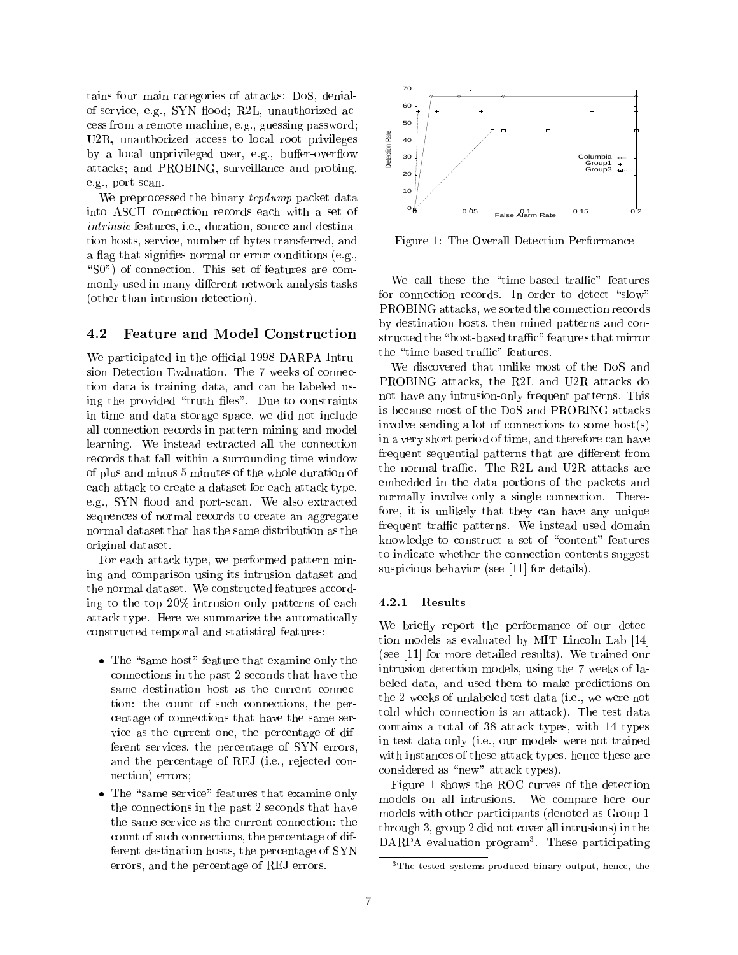tains four main categories of attacks: DoS, denialof-service, e.g., SYN flood; R2L, unauthorized access from a remote machine, e.g., guessing password; U2R, unauthorized access to local root privileges by a local unprivileged user, e.g., buffer-overflow  $\frac{5}{8}$ by a local unprivileged user, e.g., buffer-overflow attacks; and PROBING, surveillance and probing, e.g., port-scan.

We preprocessed the binary tcpdump packet data into ASCII connection records each with a set of intrinsic features, i.e., duration, source and destination hosts, service, number of bytes transferred, and a flag that signifies normal or error conditions (e.g., " $\mathrm{S}0$ ") of connection. This set of features are commonly used in many different network analysis tasks (other than intrusion detection).

#### 4.2 **Feature and Model Construction**

We participated in the official 1998 DARPA Intrusion Detection Evaluation. The 7 weeks of connection data is training data, and can be labeled using the provided "truth files". Due to constraints in time and data storage space, we did not include all connection records in pattern mining and model learning. We instead extracted all the connection records that fall within a surrounding time window of plus and minus 5 minutes of the whole duration of each attack to create a dataset for each attack type, e.g., SYN flood and port-scan. We also extracted sequences of normal records to create an aggregate normal dataset that has the same distribution as the original dataset.

For each attack type, we performed pattern mining and comparison using its intrusion dataset and the normal dataset. We constructed features according to the top 20% intrusion-only patterns of each attack type. Here we summarize the automatically constructed temporal and statistical features:

- The "same host" feature that examine only the connections in the past 2 seconds that have the same destination host as the current connection: the count of such connections, the percentage of connections that have the same service as the current one, the percentage of different services, the percentage of SYN errors, and the percentage of REJ (i.e., rejected connection) errors;
- The "same service" features that examine only the connections in the past 2 seconds that have the same service as the current connection: the count of such connections, the percentage of different destination hosts, the percentage of SYN errors, and the percentage of REJ errors.



Figure 1: The Overall Detection Performance

 $\frac{1}{2}$  February is the Model Construction of  $\frac{1}{2}$  supervisors that mirror structures that mirror We call these the "time-based traffic" features for connection records. In order to detect "slow" PROBING attacks, we sorted the connection records by destination hosts, then mined patterns and conthe "time-based traffic" features.

> We discovered that unlike most of the DoS and PROBING attacks, the R2L and U2R attacks do not have any intrusion-only frequent patterns. This is because most of the DoS and PROBING attacks involve sending a lot of connections to some host(s) in a very short period of time, and therefore can have frequent sequential patterns that are different from the normal traffic. The R2L and U2R attacks are embedded in the data portions of the packets and normally involve only a single connection. Therefore, it is unlikely that they can have any unique frequent traffic patterns. We instead used domain knowledge to construct a set of "content" features to indicate whether the connection contents suggest suspicious behavior (see [11] for details).

## 4.2.1 Results

We briefly report the performance of our detection models as evaluated by MIT Lincoln Lab [14] (see [11] for more detailed results). We trained our intrusion detection models, using the 7 weeks of labeled data, and used them to make predictions on the 2 weeks of unlabeled test data (i.e., we were not told which connection is an attack). The test data contains a total of 38 attack types, with 14 types in test data only (i.e., our models were not trained with instances of these attack types, hence these are considered as "new" attack types).

Figure 1 shows the ROC curves of the detection models on all intrusions. We compare here our models with other participants (denoted as Group 1 through 3, group 2 did not cover all intrusions) in the DARPA evaluation program3 . These participating

<sup>&</sup>lt;sup>3</sup>The tested systems produced binary output, hence, the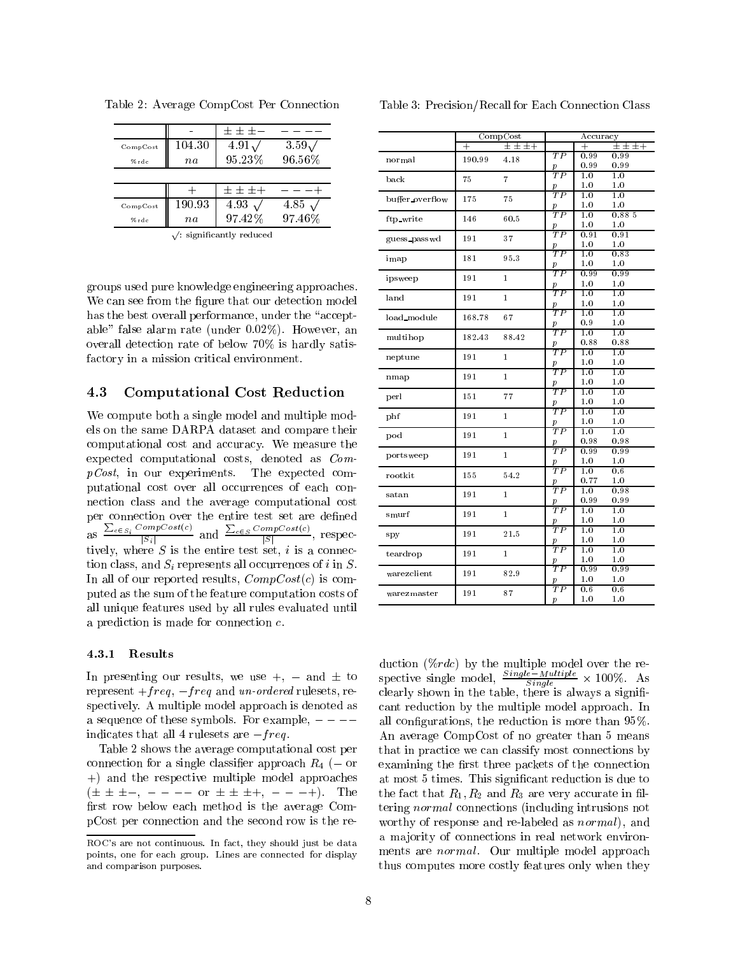|          |        | 土 士 士一                           |                 |
|----------|--------|----------------------------------|-----------------|
| CompCost | 104.30 | 4.91 <sub>v</sub>                | $3.59\sqrt{}$   |
| %rdc     | na     | 95.23%                           | 96.56%          |
|          |        |                                  |                 |
|          |        | 土土土土                             |                 |
| CompCost | 190.93 | 4.93                             | 4.85 $\sqrt{ }$ |
| %rdc     | na     | 97.42%                           | 97.46%          |
|          |        | $\sqrt{2}$ significantly reduced |                 |

Table 2: Average CompCost Per Connection

groups used pure knowledge engineering approaches. We can see from the figure that our detection model has the best overall performance, under the "acceptable" false alarm rate (under 0:02%). However, an overall detection rate of below 70% is hardly satisfactory in a mission critical environment.

## 4.3 Computational Cost Reduction

We compute both a single model and multiple models on the same DARPA dataset and compare their computational cost and accuracy. We measure the expected computational costs, denoted as Com $pCost$ , in our experiments. The expected computational cost over all occurrences of each connection class and the average computational cost per connection over the entire test set are determined by the entire test set are determined by the entire test set are determined by the entire test set are determined by the entire test set are determined by the entire t  $\frac{\sum_{c \in S_i} CompCost(c)}{|S_i|}$  and  $\frac{\sum_{c \in S} CompCost(c)}{|S|}$ , respectively, where <sup>S</sup> is the entire test set, <sup>i</sup> is a connection class, and  $S_i$  represents all occurrences of i in S. In all of our reported results,  $CompCost(c)$  is computed as the sum of the feature computation costs of all unique features used by all rules evaluated until a prediction is made for connection c.

## 4.3.1 Results

In presenting our results, we use  $+$ ,  $-$  and  $\pm$  to represent  $freq, -freq$  and un-ordered rulesets, respectively. A multiple model approach is denoted as a sequence of these symbols. For example,  $--$ indicates that all 4 rulesets are  $-freq$ .

Table 2 shows the average computational cost per connection for a single classifier approach  $R_4$  (– or +) and the respective multiple model approaches  $(\pm \pm \pm -, - - - - \text{or } \pm \pm \pm +, - - - +).$  The first row below each method is the average CompCost per connection and the second row is the re-

|                 |                | CompCost       |                                     | Accuracy         |                  |
|-----------------|----------------|----------------|-------------------------------------|------------------|------------------|
|                 | $\overline{+}$ | 士士士士           |                                     | $\overline{+}$   | 士士 士王            |
| normal          | 190.99         | 4.18           | TP                                  | 0.99             | 0.99             |
|                 |                |                | $\boldsymbol{p}$                    | 0.99             | 0.99             |
| back            | 75             | $\overline{7}$ | $\overline{TP}$                     | 1.0              | 1.0              |
|                 |                |                | $\frac{p}{TP}$                      | 1.0              | 1.0              |
| buffer overflow | 175            | 75             |                                     | 1.0<br>1.0       | 1.0<br>1.0       |
|                 |                |                | $\boldsymbol{p}$<br>TP              | 1.0              | 0.885            |
| ftp write       | 146            | 60.5           | $\overline{p}$                      | 1.0              | 1.0              |
|                 |                |                | $\tau_P$                            | 0.91             | 0.91             |
| guess_passwd    | 191            | 37             | $\boldsymbol{p}$                    | 1.0              | 1.0              |
|                 |                |                | TP                                  | 1.0              | 0.83             |
| imap            | 181            | 95.3           |                                     | 1.0              | 1.0              |
| ipsweep         | 191            | $\mathbf{1}$   | $\frac{p}{TP}$                      | 0.99             | 0.99             |
|                 |                |                | $\frac{p}{TP}$                      | 1.0              | 1.0              |
| land            | 191            | $\mathbf{1}$   |                                     | 1.0              | 1.0              |
|                 |                |                | $\overline{p}$                      | 1.0              | 1.0              |
| load_module     | 168.78         | 67             | $\overline{TP}$                     | $\overline{1.0}$ | $\overline{1.0}$ |
|                 |                |                | $\frac{p}{TP}$                      | 0.9              | 1.0              |
| multihop        | 182.43         | 88.42          |                                     | 1.0              | 1.0              |
|                 |                |                | $\frac{p}{TP}$                      | 0.88             | 0.88             |
| neptune         | 191            | $\mathbf{1}$   |                                     | 1.0              | $\overline{1.0}$ |
|                 |                |                | $\boldsymbol{p}$<br>$\overline{TP}$ | 1.0              | 1.0              |
| nmap            | 191            | $\mathbf{1}$   |                                     | 1.0<br>1.0       | 1.0<br>1.0       |
|                 |                |                | $\overline{p}$<br>$\overline{TP}$   | 1.0              | 1.0              |
| perl            | 151            | 77             |                                     | 1.0              | $1.0\,$          |
| phf             | 191            | $\mathbf{1}$   | $\frac{p}{TP}$                      | $\overline{1.0}$ | 1.0              |
|                 |                |                |                                     | 1.0              | 1.0              |
| pod             | 191            | $\mathbf{1}$   | $\frac{p}{TP}$                      | 1.0              | 1.0              |
|                 |                |                | $\boldsymbol{p}$                    | 0.98             | 0.98             |
| portsweep       | 191            | $\mathbf{1}$   | $\overline{TP}$                     | 0.99             | 0.99             |
|                 |                |                | $\frac{p}{TP}$                      | 1.0              | 1.0              |
| rootkit         | 155            | 54.2           |                                     | 1.0              | 0.6              |
|                 |                |                | р                                   | 0.77             | 1.0              |
| satan           | 191            | $\mathbf{1}$   | $\overline{TP}$                     | 1.0              | 0.98             |
|                 |                |                | $\frac{p}{TP}$                      | 0.99             | 0.99             |
| smurf           | 191            | $\mathbf{1}$   |                                     | 1.0              | $\overline{1.0}$ |
|                 |                |                | $\boldsymbol{p}$<br>TР              | 1.0              | 1.0              |
| spy             | 191            | 21.5           |                                     | 1.0<br>1.0       | 1.0<br>1.0       |
|                 |                |                | $\frac{p}{TP}$                      | $\overline{1.0}$ | 1.0              |
| teardrop        | 191            | $\mathbf{1}$   |                                     | 1.0              | 1.0              |
|                 |                |                | $\frac{p}{TP}$                      | 0.99             | 0.99             |
| warezclient     | 191            | 82.9           | $\overline{p}$                      | 1.0              | $1.0\,$          |
|                 |                |                | $\overline{TP}$                     | 0.6              | 0.6              |
| warezmaster     | 191            | 87             | $\overline{p}$                      | 1.0              | 1.0              |
|                 |                |                |                                     |                  |                  |

duction  $(\%$ *rdc*) by the multiple model over the respective single model,  $\frac{Sinale}{\text{N}} \times 100\%$ . As clearly shown in the table, there is always a significant reduction by the multiple model approach. In all configurations, the reduction is more than  $95\%$ . An average CompCost of no greater than 5 means that in practice we can classify most connections by examining the first three packets of the connection at most 5 times. This signicant reduction is due to the fact that  $R_1, R_2$  and  $R_3$  are very accurate in filtering normal connections (including intrusions not worthy of response and re-labeled as normal), and a majority of connections in real network environments are normal. Our multiple model approach thus computes more costly features only when they

### Table 3: Precision/Recall for Each Connection Class

ROC's are not continuous. In fact, they should just be data points, one for each group. Lines are connected for display and comparison purposes.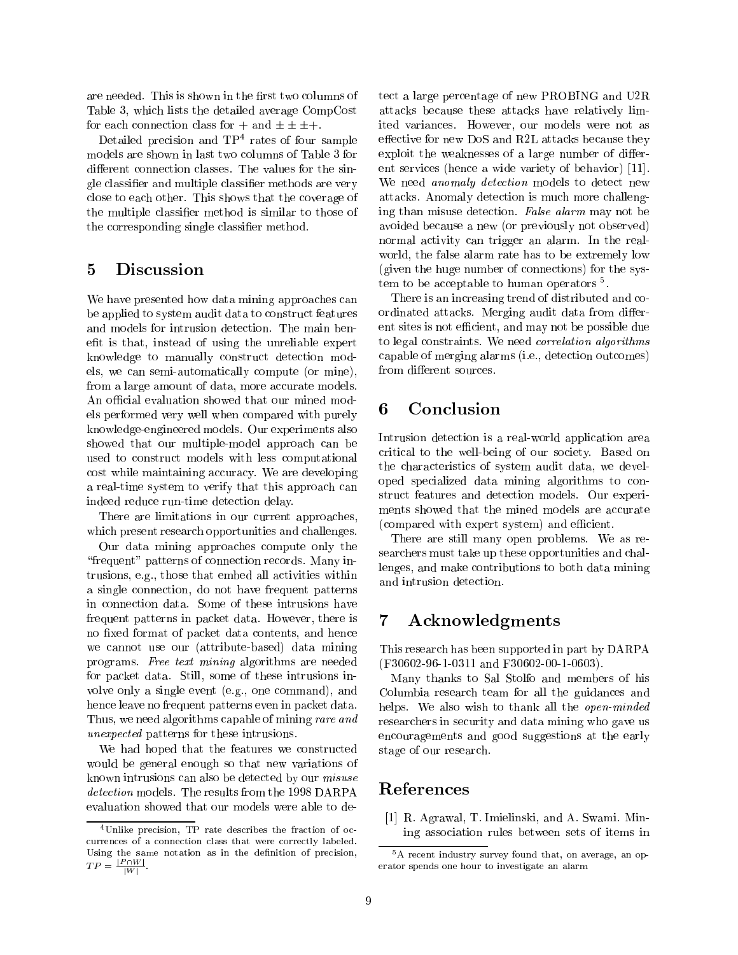are needed. This is shown in the first two columns of Table 3, which lists the detailed average CompCost for each connection class for  $+$  and  $\pm \pm \pm +$ .

Detailed precision and IP<sup>-</sup> rates of four sample ene models are shown in last two columns of Table 3 for different connection classes. The values for the single classier and multiple classier methods are very close to each other. This shows that the coverage of the multiple classier method is similar to those of the corresponding single classifier method.

### $\overline{5}$ Discussion

We have presented how data mining approaches can be applied to system audit data to construct features and models for intrusion detection. The main benefit is that, instead of using the unreliable expert knowledge to manually construct detection models, we can semi-automatically compute (or mine), from a large amount of data, more accurate models. An official evaluation showed that our mined models performed very well when compared with purely knowledge-engineered models. Our experiments also showed that our multiple-model approach can be used to construct models with less computational cost while maintaining accuracy. We are developing a real-time system to verify that this approach can indeed reduce run-time detection delay.

There are limitations in our current approaches, which present research opportunities and challenges.

Our data mining approaches compute only the \frequent" patterns of connection records. Many intrusions, e.g., those that embed all activities within a single connection, do not have frequent patterns in connection data. Some of these intrusions have frequent patterns in packet data. However, there is no fixed format of packet data contents, and hence we cannot use our (attribute-based) data mining programs. Free text mining algorithms are needed for packet data. Still, some of these intrusions in volve only a single event (e.g., one command), and hence leave no frequent patterns even in packet data. Thus, we need algorithms capable of mining rare and unexpected patterns for these intrusions.

We had hoped that the features we constructed would be general enough so that new variations of known intrusions can also be detected by our misuse detection models. The results from the 1998 DARPA evaluation showed that our models were able to detect a large percentage of new PROBING and U2R attacks because these attacks have relatively limited variances. However, our models were not as effective for new  $DoS$  and  $R2L$  attacks because they exploit the weaknesses of a large number of different services (hence a wide variety of behavior) [11]. We need *anomaly detection* models to detect new attacks. Anomaly detection is much more challenging than misuse detection. False alarm may not be avoided because a new (or previously not observed) normal activity can trigger an alarm. In the real world, the false alarm rate has to be extremely low (given the huge number of connections) for the system to be acceptable to human operators<sup>5</sup>.

There is an increasing trend of distributed and coordinated attacks. Merging audit data from different sites is not efficient, and may not be possible due to legal constraints. We need correlation algorithms capable of merging alarms (i.e., detection outcomes) from different sources.

# 6 Conclusion

Intrusion detection is a real-world application area critical to the well-being of our society. Based on the characteristics of system audit data, we developed specialized data mining algorithms to construct features and detection models. Our experiments showed that the mined models are accurate (compared with expert system) and efficient.

There are still many open problems. We as researchers must take up these opportunities and challenges, and make contributions to both data mining and intrusion detection.

# Acknowledgments

This research has been supported in part by DARPA (F30602-96-1-0311 and F30602-00-1-0603).

Many thanks to Sal Stolfo and members of his Columbia research team for all the guidances and helps. We also wish to thank all the *open-minded* researchers in security and data mining who gave us encouragements and good suggestions at the early stage of our research.

# References

[1] R. Agrawal, T. Imielinski, and A. Swami. Mining association rules between sets of items in

<sup>4</sup>Unlike precision, TP rate describes the fraction of oc currences of a connection class that were correctly labeled. Using the same notation as in the definition of precision,  $TP = \frac{1}{|W|}$ .

<sup>5</sup>A recent industry survey found that, on average, an operator spends one hour to investigate an alarm